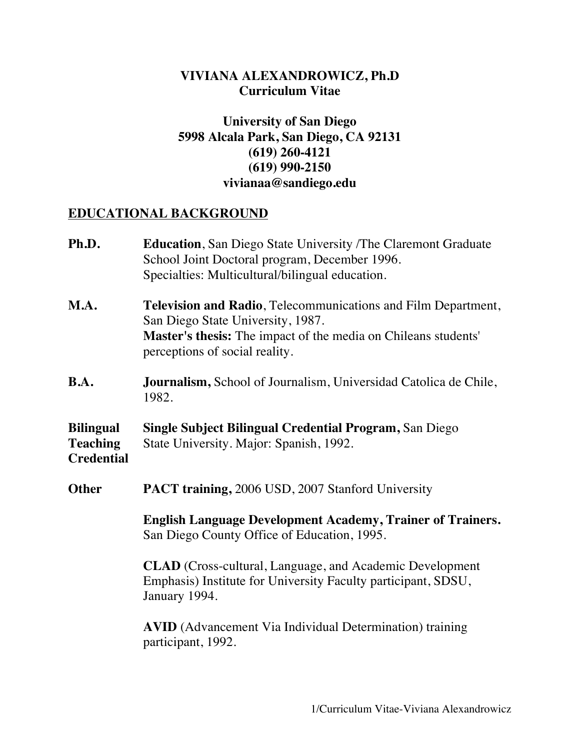## **VIVIANA ALEXANDROWICZ, Ph.D Curriculum Vitae**

# **University of San Diego 5998 Alcala Park, San Diego, CA 92131 (619) 260-4121 (619) 990-2150 vivianaa@sandiego.edu**

#### **EDUCATIONAL BACKGROUND**

| Ph.D.                                                    | <b>Education</b> , San Diego State University /The Claremont Graduate<br>School Joint Doctoral program, December 1996.<br>Specialties: Multicultural/bilingual education.                              |  |  |
|----------------------------------------------------------|--------------------------------------------------------------------------------------------------------------------------------------------------------------------------------------------------------|--|--|
| M.A.                                                     | Television and Radio, Telecommunications and Film Department,<br>San Diego State University, 1987.<br>Master's thesis: The impact of the media on Chileans students'<br>perceptions of social reality. |  |  |
| B.A.                                                     | <b>Journalism,</b> School of Journalism, Universidad Catolica de Chile,<br>1982.                                                                                                                       |  |  |
| <b>Bilingual</b><br><b>Teaching</b><br><b>Credential</b> | <b>Single Subject Bilingual Credential Program, San Diego</b><br>State University. Major: Spanish, 1992.                                                                                               |  |  |
| <b>Other</b>                                             | <b>PACT training, 2006 USD, 2007 Stanford University</b>                                                                                                                                               |  |  |
|                                                          | <b>English Language Development Academy, Trainer of Trainers.</b><br>San Diego County Office of Education, 1995.                                                                                       |  |  |
|                                                          | <b>CLAD</b> (Cross-cultural, Language, and Academic Development<br>Emphasis) Institute for University Faculty participant, SDSU,<br>January 1994.                                                      |  |  |
|                                                          | <b>AVID</b> (Advancement Via Individual Determination) training<br>participant, 1992.                                                                                                                  |  |  |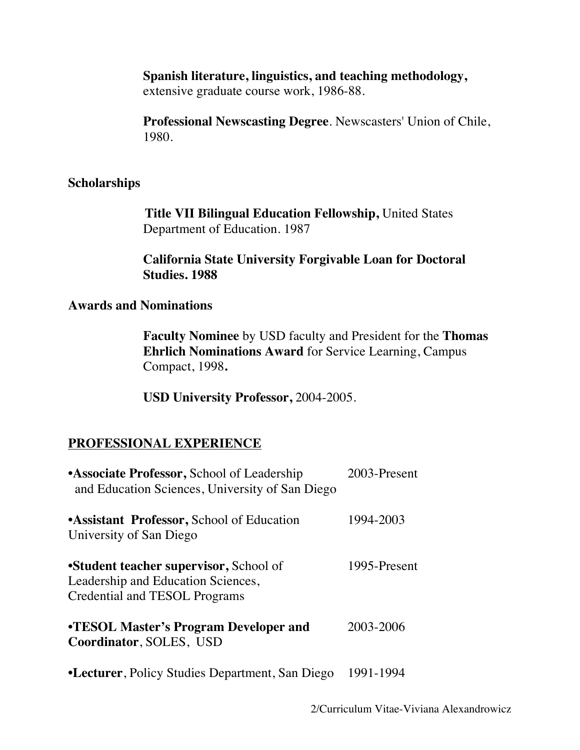#### **Spanish literature, linguistics, and teaching methodology,**  extensive graduate course work, 1986-88.

**Professional Newscasting Degree**. Newscasters' Union of Chile, 1980.

## **Scholarships**

**Title VII Bilingual Education Fellowship,** United States Department of Education. 1987

# **California State University Forgivable Loan for Doctoral Studies. 1988**

#### **Awards and Nominations**

**Faculty Nominee** by USD faculty and President for the **Thomas Ehrlich Nominations Award** for Service Learning, Campus Compact, 1998**.**

**USD University Professor,** 2004-2005.

# **PROFESSIONAL EXPERIENCE**

| •Associate Professor, School of Leadership<br>and Education Sciences, University of San Diego                 | 2003-Present |
|---------------------------------------------------------------------------------------------------------------|--------------|
| <b>Assistant Professor, School of Education</b><br>University of San Diego                                    | 1994-2003    |
| •Student teacher supervisor, School of<br>Leadership and Education Sciences,<br>Credential and TESOL Programs | 1995-Present |
| <b>•TESOL Master's Program Developer and</b><br>Coordinator, SOLES, USD                                       | 2003-2006    |
| •Lecturer, Policy Studies Department, San Diego                                                               | 1991-1994    |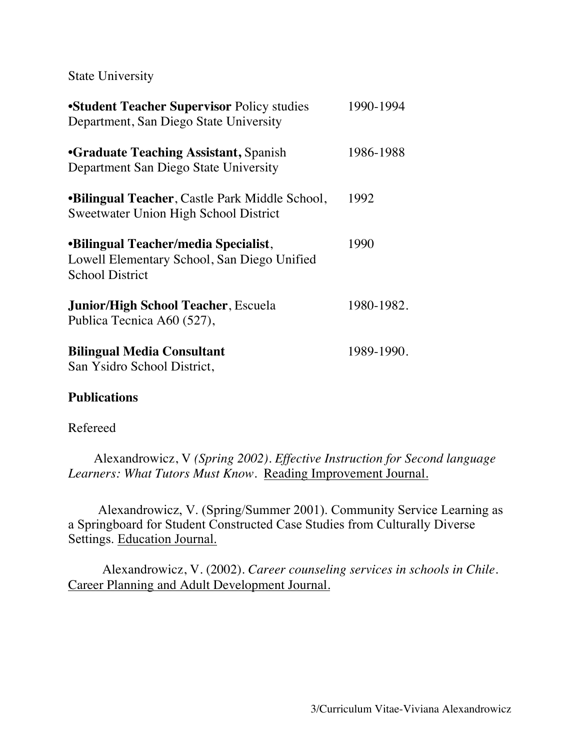State University

| <b>Student Teacher Supervisor Policy studies</b><br>Department, San Diego State University                           | 1990-1994  |
|----------------------------------------------------------------------------------------------------------------------|------------|
| <b>•Graduate Teaching Assistant, Spanish</b><br>Department San Diego State University                                | 1986-1988  |
| <b>•Bilingual Teacher, Castle Park Middle School,</b><br>Sweetwater Union High School District                       | 1992       |
| <b>•Bilingual Teacher/media Specialist,</b><br>Lowell Elementary School, San Diego Unified<br><b>School District</b> | 1990       |
| <b>Junior/High School Teacher, Escuela</b><br>Publica Tecnica A60 (527),                                             | 1980-1982. |
| <b>Bilingual Media Consultant</b><br>San Ysidro School District,                                                     | 1989-1990. |

#### **Publications**

#### Refereed

Alexandrowicz, V *(Spring 2002). Effective Instruction for Second language Learners: What Tutors Must Know.* Reading Improvement Journal.

Alexandrowicz, V. (Spring/Summer 2001). Community Service Learning as a Springboard for Student Constructed Case Studies from Culturally Diverse Settings. Education Journal.

Alexandrowicz, V. (2002). *Career counseling services in schools in Chile.*  Career Planning and Adult Development Journal.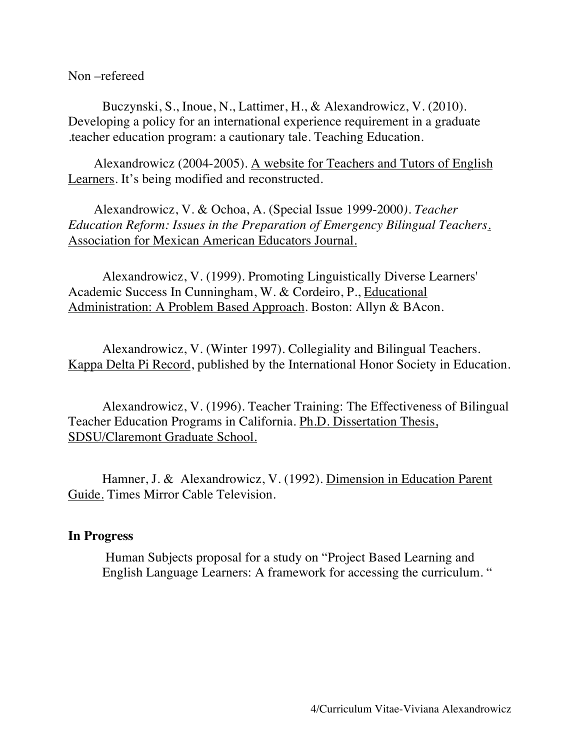Non –refereed

Buczynski, S., Inoue, N., Lattimer, H., & Alexandrowicz, V. (2010). Developing a policy for an international experience requirement in a graduate .teacher education program: a cautionary tale. Teaching Education.

Alexandrowicz (2004-2005). A website for Teachers and Tutors of English Learners. It's being modified and reconstructed.

Alexandrowicz, V. & Ochoa, A. (Special Issue 1999-2000*). Teacher Education Reform: Issues in the Preparation of Emergency Bilingual Teachers*. Association for Mexican American Educators Journal.

Alexandrowicz, V. (1999). Promoting Linguistically Diverse Learners' Academic Success In Cunningham, W. & Cordeiro, P., Educational Administration: A Problem Based Approach. Boston: Allyn & BAcon.

Alexandrowicz, V. (Winter 1997). Collegiality and Bilingual Teachers. Kappa Delta Pi Record, published by the International Honor Society in Education.

Alexandrowicz, V. (1996). Teacher Training: The Effectiveness of Bilingual Teacher Education Programs in California. Ph.D. Dissertation Thesis, SDSU/Claremont Graduate School.

Hamner, J. & Alexandrowicz, V. (1992). Dimension in Education Parent Guide. Times Mirror Cable Television.

#### **In Progress**

Human Subjects proposal for a study on "Project Based Learning and English Language Learners: A framework for accessing the curriculum. "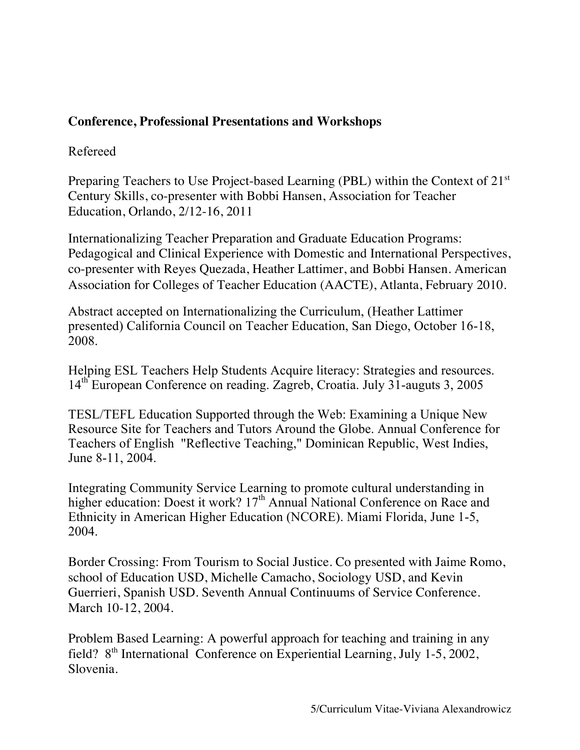# **Conference, Professional Presentations and Workshops**

## Refereed

Preparing Teachers to Use Project-based Learning (PBL) within the Context of 21<sup>st</sup> Century Skills, co-presenter with Bobbi Hansen, Association for Teacher Education, Orlando, 2/12-16, 2011

Internationalizing Teacher Preparation and Graduate Education Programs: Pedagogical and Clinical Experience with Domestic and International Perspectives, co-presenter with Reyes Quezada, Heather Lattimer, and Bobbi Hansen. American Association for Colleges of Teacher Education (AACTE), Atlanta, February 2010.

Abstract accepted on Internationalizing the Curriculum, (Heather Lattimer presented) California Council on Teacher Education, San Diego, October 16-18, 2008.

Helping ESL Teachers Help Students Acquire literacy: Strategies and resources. 14th European Conference on reading. Zagreb, Croatia. July 31-auguts 3, 2005

TESL/TEFL Education Supported through the Web: Examining a Unique New Resource Site for Teachers and Tutors Around the Globe. Annual Conference for Teachers of English "Reflective Teaching," Dominican Republic, West Indies, June 8-11, 2004.

Integrating Community Service Learning to promote cultural understanding in higher education: Doest it work?  $17<sup>th</sup>$  Annual National Conference on Race and Ethnicity in American Higher Education (NCORE). Miami Florida, June 1-5, 2004.

Border Crossing: From Tourism to Social Justice. Co presented with Jaime Romo, school of Education USD, Michelle Camacho, Sociology USD, and Kevin Guerrieri, Spanish USD. Seventh Annual Continuums of Service Conference. March 10-12, 2004.

Problem Based Learning: A powerful approach for teaching and training in any field? 8th International Conference on Experiential Learning, July 1-5, 2002, Slovenia.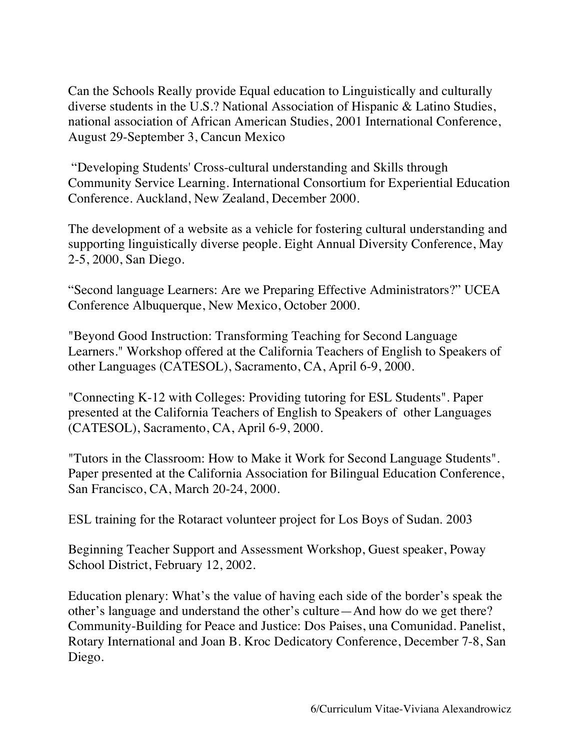Can the Schools Really provide Equal education to Linguistically and culturally diverse students in the U.S.? National Association of Hispanic & Latino Studies, national association of African American Studies, 2001 International Conference, August 29-September 3, Cancun Mexico

"Developing Students' Cross-cultural understanding and Skills through Community Service Learning. International Consortium for Experiential Education Conference. Auckland, New Zealand, December 2000.

The development of a website as a vehicle for fostering cultural understanding and supporting linguistically diverse people. Eight Annual Diversity Conference, May 2-5, 2000, San Diego.

"Second language Learners: Are we Preparing Effective Administrators?" UCEA Conference Albuquerque, New Mexico, October 2000.

"Beyond Good Instruction: Transforming Teaching for Second Language Learners." Workshop offered at the California Teachers of English to Speakers of other Languages (CATESOL), Sacramento, CA, April 6-9, 2000.

"Connecting K-12 with Colleges: Providing tutoring for ESL Students". Paper presented at the California Teachers of English to Speakers of other Languages (CATESOL), Sacramento, CA, April 6-9, 2000.

"Tutors in the Classroom: How to Make it Work for Second Language Students". Paper presented at the California Association for Bilingual Education Conference, San Francisco, CA, March 20-24, 2000.

ESL training for the Rotaract volunteer project for Los Boys of Sudan. 2003

Beginning Teacher Support and Assessment Workshop, Guest speaker, Poway School District, February 12, 2002.

Education plenary: What's the value of having each side of the border's speak the other's language and understand the other's culture—And how do we get there? Community-Building for Peace and Justice: Dos Paises, una Comunidad. Panelist, Rotary International and Joan B. Kroc Dedicatory Conference, December 7-8, San Diego.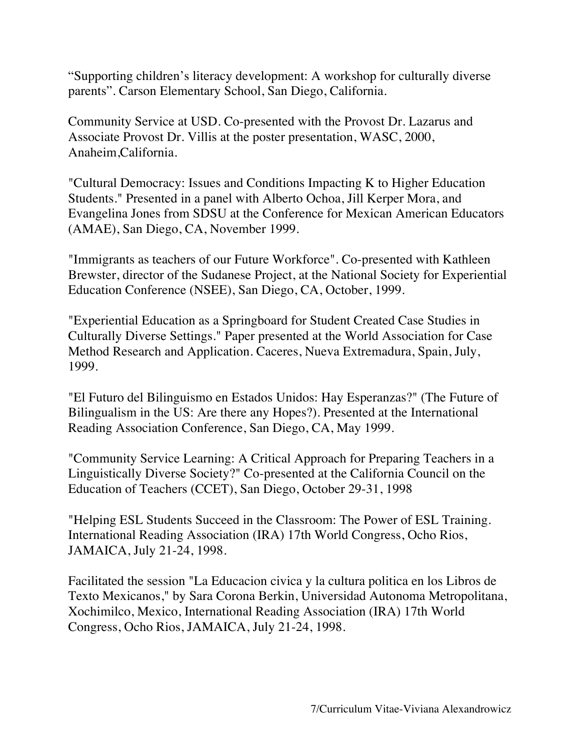"Supporting children's literacy development: A workshop for culturally diverse parents". Carson Elementary School, San Diego, California.

Community Service at USD. Co-presented with the Provost Dr. Lazarus and Associate Provost Dr. Villis at the poster presentation, WASC, 2000, Anaheim,California.

"Cultural Democracy: Issues and Conditions Impacting K to Higher Education Students." Presented in a panel with Alberto Ochoa, Jill Kerper Mora, and Evangelina Jones from SDSU at the Conference for Mexican American Educators (AMAE), San Diego, CA, November 1999.

"Immigrants as teachers of our Future Workforce". Co-presented with Kathleen Brewster, director of the Sudanese Project, at the National Society for Experiential Education Conference (NSEE), San Diego, CA, October, 1999.

"Experiential Education as a Springboard for Student Created Case Studies in Culturally Diverse Settings." Paper presented at the World Association for Case Method Research and Application. Caceres, Nueva Extremadura, Spain, July, 1999.

"El Futuro del Bilinguismo en Estados Unidos: Hay Esperanzas?" (The Future of Bilingualism in the US: Are there any Hopes?). Presented at the International Reading Association Conference, San Diego, CA, May 1999.

"Community Service Learning: A Critical Approach for Preparing Teachers in a Linguistically Diverse Society?" Co-presented at the California Council on the Education of Teachers (CCET), San Diego, October 29-31, 1998

"Helping ESL Students Succeed in the Classroom: The Power of ESL Training. International Reading Association (IRA) 17th World Congress, Ocho Rios, JAMAICA, July 21-24, 1998.

Facilitated the session "La Educacion civica y la cultura politica en los Libros de Texto Mexicanos," by Sara Corona Berkin, Universidad Autonoma Metropolitana, Xochimilco, Mexico, International Reading Association (IRA) 17th World Congress, Ocho Rios, JAMAICA, July 21-24, 1998.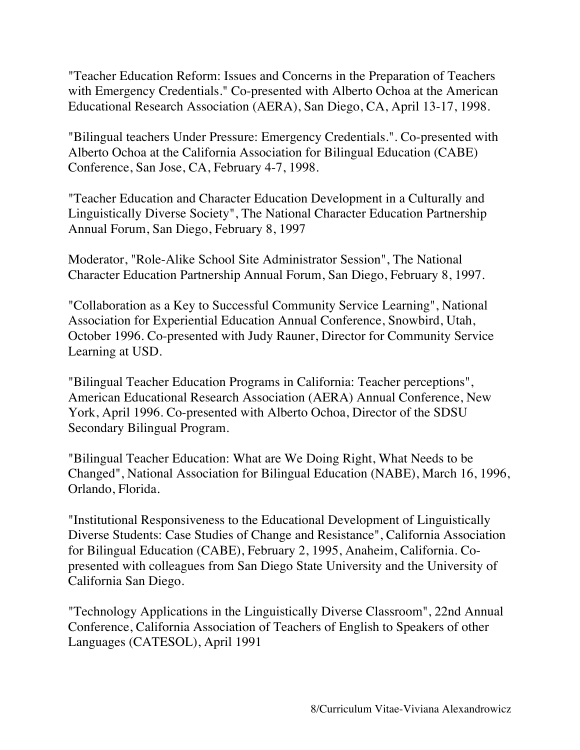"Teacher Education Reform: Issues and Concerns in the Preparation of Teachers with Emergency Credentials." Co-presented with Alberto Ochoa at the American Educational Research Association (AERA), San Diego, CA, April 13-17, 1998.

"Bilingual teachers Under Pressure: Emergency Credentials.". Co-presented with Alberto Ochoa at the California Association for Bilingual Education (CABE) Conference, San Jose, CA, February 4-7, 1998.

"Teacher Education and Character Education Development in a Culturally and Linguistically Diverse Society", The National Character Education Partnership Annual Forum, San Diego, February 8, 1997

Moderator, "Role-Alike School Site Administrator Session", The National Character Education Partnership Annual Forum, San Diego, February 8, 1997.

"Collaboration as a Key to Successful Community Service Learning", National Association for Experiential Education Annual Conference, Snowbird, Utah, October 1996. Co-presented with Judy Rauner, Director for Community Service Learning at USD.

"Bilingual Teacher Education Programs in California: Teacher perceptions", American Educational Research Association (AERA) Annual Conference, New York, April 1996. Co-presented with Alberto Ochoa, Director of the SDSU Secondary Bilingual Program.

"Bilingual Teacher Education: What are We Doing Right, What Needs to be Changed", National Association for Bilingual Education (NABE), March 16, 1996, Orlando, Florida.

"Institutional Responsiveness to the Educational Development of Linguistically Diverse Students: Case Studies of Change and Resistance", California Association for Bilingual Education (CABE), February 2, 1995, Anaheim, California. Copresented with colleagues from San Diego State University and the University of California San Diego.

"Technology Applications in the Linguistically Diverse Classroom", 22nd Annual Conference, California Association of Teachers of English to Speakers of other Languages (CATESOL), April 1991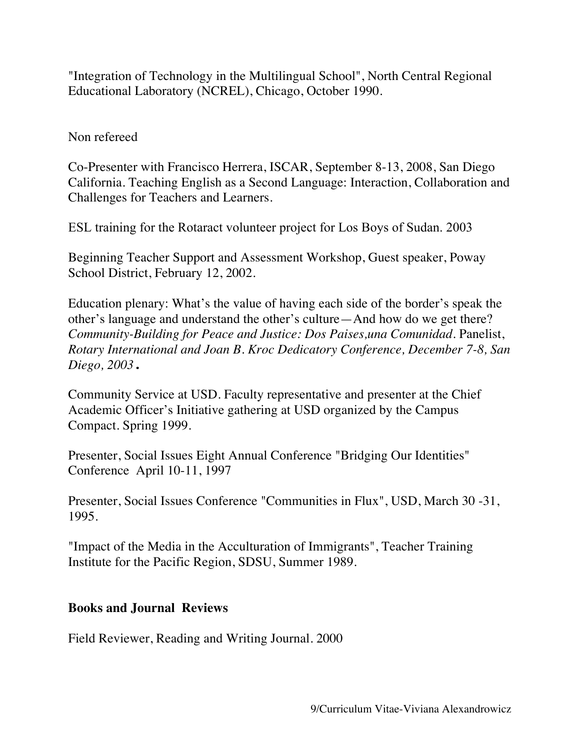"Integration of Technology in the Multilingual School", North Central Regional Educational Laboratory (NCREL), Chicago, October 1990.

## Non refereed

Co-Presenter with Francisco Herrera, ISCAR, September 8-13, 2008, San Diego California. Teaching English as a Second Language: Interaction, Collaboration and Challenges for Teachers and Learners.

ESL training for the Rotaract volunteer project for Los Boys of Sudan. 2003

Beginning Teacher Support and Assessment Workshop, Guest speaker, Poway School District, February 12, 2002.

Education plenary: What's the value of having each side of the border's speak the other's language and understand the other's culture—And how do we get there? *Community-Building for Peace and Justice: Dos Paises,una Comunidad.* Panelist, *Rotary International and Joan B. Kroc Dedicatory Conference, December 7-8, San Diego, 2003*.

Community Service at USD. Faculty representative and presenter at the Chief Academic Officer's Initiative gathering at USD organized by the Campus Compact. Spring 1999.

Presenter, Social Issues Eight Annual Conference "Bridging Our Identities" Conference April 10-11, 1997

Presenter, Social Issues Conference "Communities in Flux", USD, March 30 -31, 1995.

"Impact of the Media in the Acculturation of Immigrants", Teacher Training Institute for the Pacific Region, SDSU, Summer 1989.

## **Books and Journal Reviews**

Field Reviewer, Reading and Writing Journal. 2000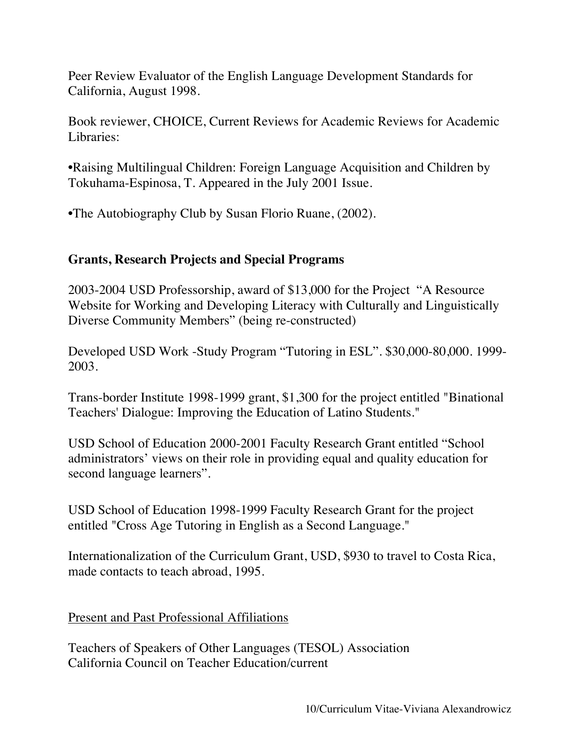Peer Review Evaluator of the English Language Development Standards for California, August 1998.

Book reviewer, CHOICE, Current Reviews for Academic Reviews for Academic Libraries:

•Raising Multilingual Children: Foreign Language Acquisition and Children by Tokuhama-Espinosa, T. Appeared in the July 2001 Issue.

•The Autobiography Club by Susan Florio Ruane, (2002).

# **Grants, Research Projects and Special Programs**

2003-2004 USD Professorship, award of \$13,000 for the Project "A Resource Website for Working and Developing Literacy with Culturally and Linguistically Diverse Community Members" (being re-constructed)

Developed USD Work -Study Program "Tutoring in ESL". \$30,000-80,000. 1999- 2003.

Trans-border Institute 1998-1999 grant, \$1,300 for the project entitled "Binational Teachers' Dialogue: Improving the Education of Latino Students."

USD School of Education 2000-2001 Faculty Research Grant entitled "School administrators' views on their role in providing equal and quality education for second language learners".

USD School of Education 1998-1999 Faculty Research Grant for the project entitled "Cross Age Tutoring in English as a Second Language."

Internationalization of the Curriculum Grant, USD, \$930 to travel to Costa Rica, made contacts to teach abroad, 1995.

## Present and Past Professional Affiliations

Teachers of Speakers of Other Languages (TESOL) Association California Council on Teacher Education/current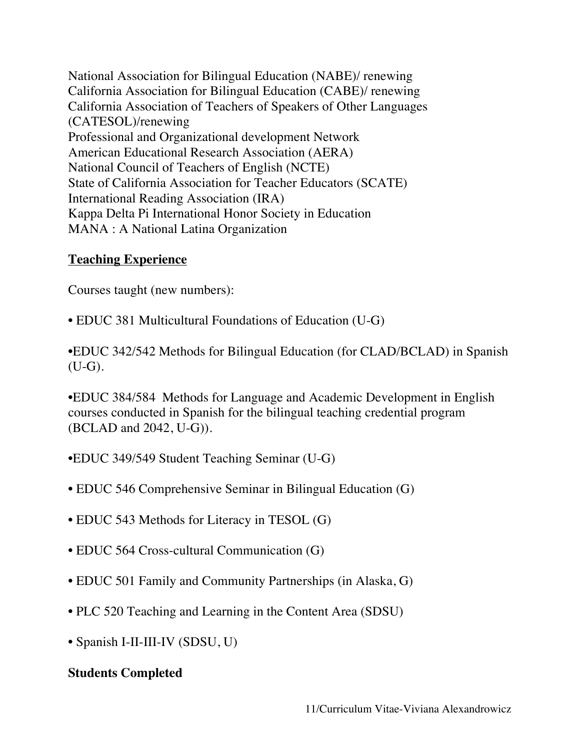National Association for Bilingual Education (NABE)/ renewing California Association for Bilingual Education (CABE)/ renewing California Association of Teachers of Speakers of Other Languages (CATESOL)/renewing Professional and Organizational development Network American Educational Research Association (AERA) National Council of Teachers of English (NCTE) State of California Association for Teacher Educators (SCATE) International Reading Association (IRA) Kappa Delta Pi International Honor Society in Education MANA : A National Latina Organization

## **Teaching Experience**

Courses taught (new numbers):

• EDUC 381 Multicultural Foundations of Education (U-G)

•EDUC 342/542 Methods for Bilingual Education (for CLAD/BCLAD) in Spanish (U-G).

•EDUC 384/584 Methods for Language and Academic Development in English courses conducted in Spanish for the bilingual teaching credential program (BCLAD and 2042, U-G)).

- •EDUC 349/549 Student Teaching Seminar (U-G)
- EDUC 546 Comprehensive Seminar in Bilingual Education (G)
- EDUC 543 Methods for Literacy in TESOL (G)
- EDUC 564 Cross-cultural Communication (G)
- EDUC 501 Family and Community Partnerships (in Alaska, G)
- PLC 520 Teaching and Learning in the Content Area (SDSU)
- Spanish I-II-III-IV (SDSU, U)

## **Students Completed**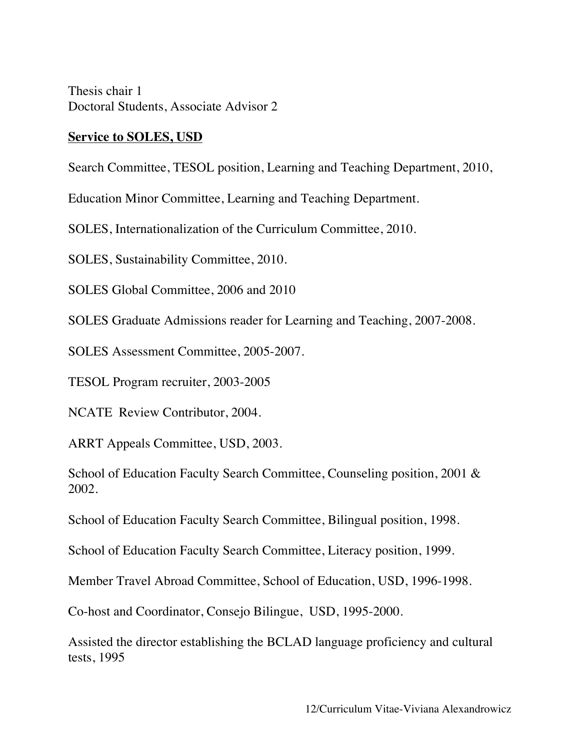Thesis chair 1 Doctoral Students, Associate Advisor 2

#### **Service to SOLES, USD**

Search Committee, TESOL position, Learning and Teaching Department, 2010,

Education Minor Committee, Learning and Teaching Department.

SOLES, Internationalization of the Curriculum Committee, 2010.

SOLES, Sustainability Committee, 2010.

SOLES Global Committee, 2006 and 2010

SOLES Graduate Admissions reader for Learning and Teaching, 2007-2008.

SOLES Assessment Committee, 2005-2007.

TESOL Program recruiter, 2003-2005

NCATE Review Contributor, 2004.

ARRT Appeals Committee, USD, 2003.

School of Education Faculty Search Committee, Counseling position, 2001 & 2002.

School of Education Faculty Search Committee, Bilingual position, 1998.

School of Education Faculty Search Committee, Literacy position, 1999.

Member Travel Abroad Committee, School of Education, USD, 1996-1998.

Co-host and Coordinator, Consejo Bilingue, USD, 1995-2000.

Assisted the director establishing the BCLAD language proficiency and cultural tests, 1995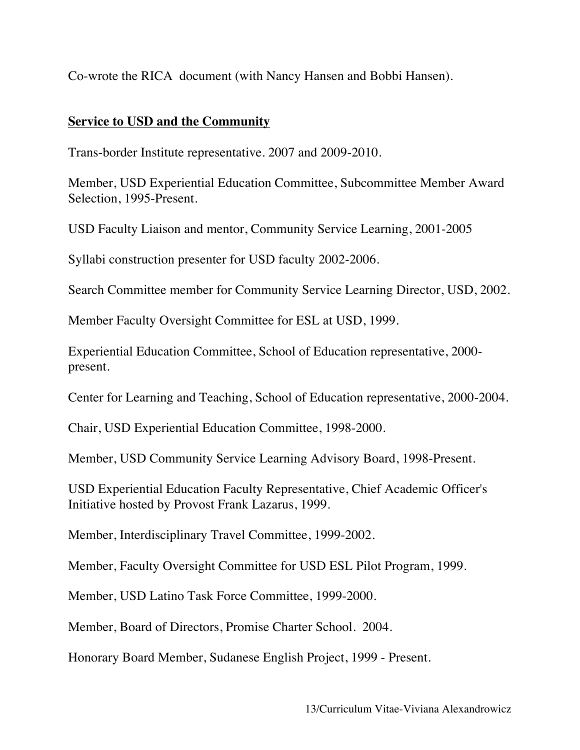Co-wrote the RICA document (with Nancy Hansen and Bobbi Hansen).

## **Service to USD and the Community**

Trans-border Institute representative. 2007 and 2009-2010.

Member, USD Experiential Education Committee, Subcommittee Member Award Selection, 1995-Present.

USD Faculty Liaison and mentor, Community Service Learning, 2001-2005

Syllabi construction presenter for USD faculty 2002-2006.

Search Committee member for Community Service Learning Director, USD, 2002.

Member Faculty Oversight Committee for ESL at USD, 1999.

Experiential Education Committee, School of Education representative, 2000 present.

Center for Learning and Teaching, School of Education representative, 2000-2004.

Chair, USD Experiential Education Committee, 1998-2000.

Member, USD Community Service Learning Advisory Board, 1998-Present.

USD Experiential Education Faculty Representative, Chief Academic Officer's Initiative hosted by Provost Frank Lazarus, 1999.

Member, Interdisciplinary Travel Committee, 1999-2002.

Member, Faculty Oversight Committee for USD ESL Pilot Program, 1999.

Member, USD Latino Task Force Committee, 1999-2000.

Member, Board of Directors, Promise Charter School. 2004.

Honorary Board Member, Sudanese English Project, 1999 - Present.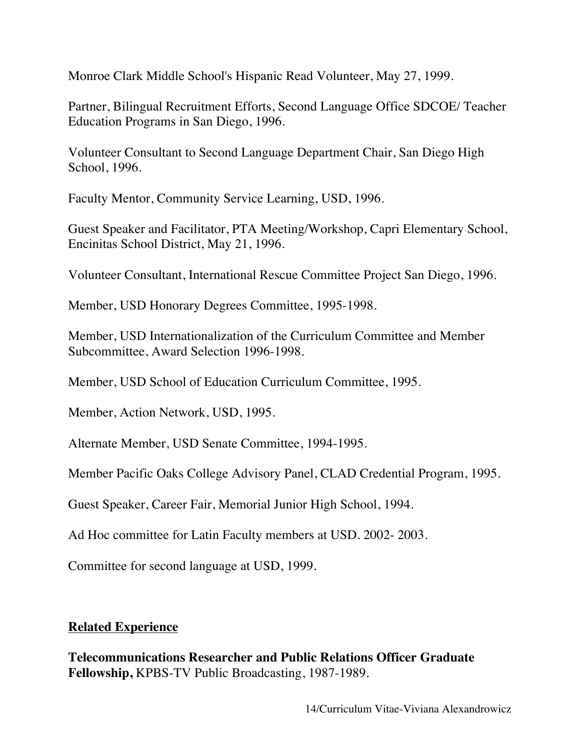Monroe Clark Middle School's Hispanic Read Volunteer, May 27, 1999.

Partner, Bilingual Recruitment Efforts, Second Language Office SDCOE/ Teacher Education Programs in San Diego, 1996.

Volunteer Consultant to Second Language Department Chair, San Diego High School, 1996.

Faculty Mentor, Community Service Learning, USD, 1996.

Guest Speaker and Facilitator, PTA Meeting/Workshop, Capri Elementary School, Encinitas School District, May 21, 1996.

Volunteer Consultant, International Rescue Committee Project San Diego, 1996.

Member, USD Honorary Degrees Committee, 1995-1998.

Member, USD Internationalization of the Curriculum Committee and Member Subcommittee, Award Selection 1996-1998.

Member, USD School of Education Curriculum Committee, 1995.

Member, Action Network, USD, 1995.

Alternate Member, USD Senate Committee, 1994-1995.

Member Pacific Oaks College Advisory Panel, CLAD Credential Program, 1995.

Guest Speaker, Career Fair, Memorial Junior High School, 1994.

Ad Hoc committee for Latin Faculty members at USD. 2002- 2003.

Committee for second language at USD, 1999.

# **Related Experience**

**Telecommunications Researcher and Public Relations Officer Graduate Fellowship,** KPBS-TV Public Broadcasting, 1987-1989.